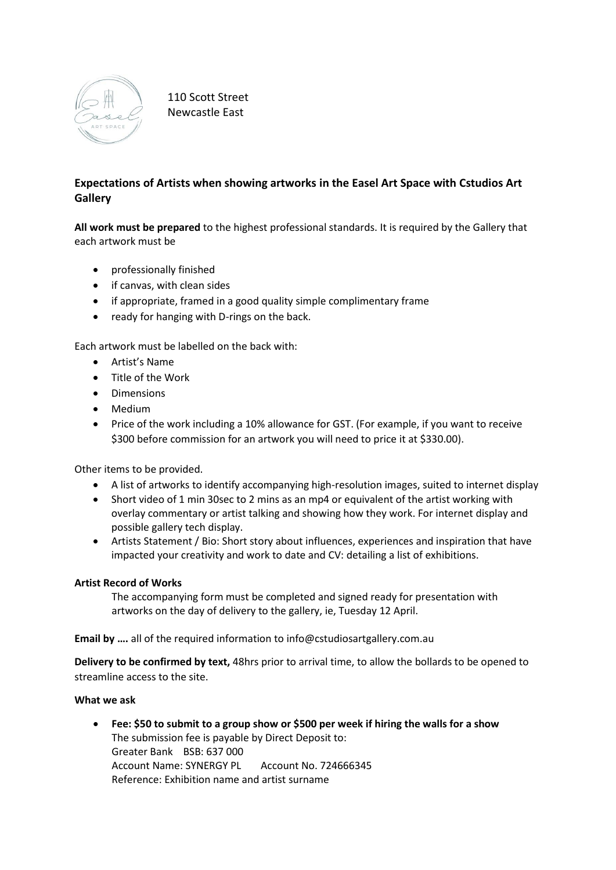

110 Scott Street Newcastle East

# **Expectations of Artists when showing artworks in the Easel Art Space with Cstudios Art Gallery**

**All work must be prepared** to the highest professional standards. It is required by the Gallery that each artwork must be

- professionally finished
- if canvas, with clean sides
- if appropriate, framed in a good quality simple complimentary frame
- ready for hanging with D-rings on the back.

Each artwork must be labelled on the back with:

- Artist's Name
- Title of the Work
- Dimensions
- Medium
- Price of the work including a 10% allowance for GST. (For example, if you want to receive \$300 before commission for an artwork you will need to price it at \$330.00).

Other items to be provided.

- A list of artworks to identify accompanying high-resolution images, suited to internet display
- Short video of 1 min 30sec to 2 mins as an mp4 or equivalent of the artist working with overlay commentary or artist talking and showing how they work. For internet display and possible gallery tech display.
- Artists Statement / Bio: Short story about influences, experiences and inspiration that have impacted your creativity and work to date and CV: detailing a list of exhibitions.

## **Artist Record of Works**

The accompanying form must be completed and signed ready for presentation with artworks on the day of delivery to the gallery, ie, Tuesday 12 April.

**Email by ….** all of the required information to info@cstudiosartgallery.com.au

**Delivery to be confirmed by text,** 48hrs prior to arrival time, to allow the bollards to be opened to streamline access to the site.

#### **What we ask**

• **Fee: \$50 to submit to a group show or \$500 per week if hiring the walls for a show** The submission fee is payable by Direct Deposit to: Greater Bank BSB: 637 000 Account Name: SYNERGY PL Account No. 724666345 Reference: Exhibition name and artist surname